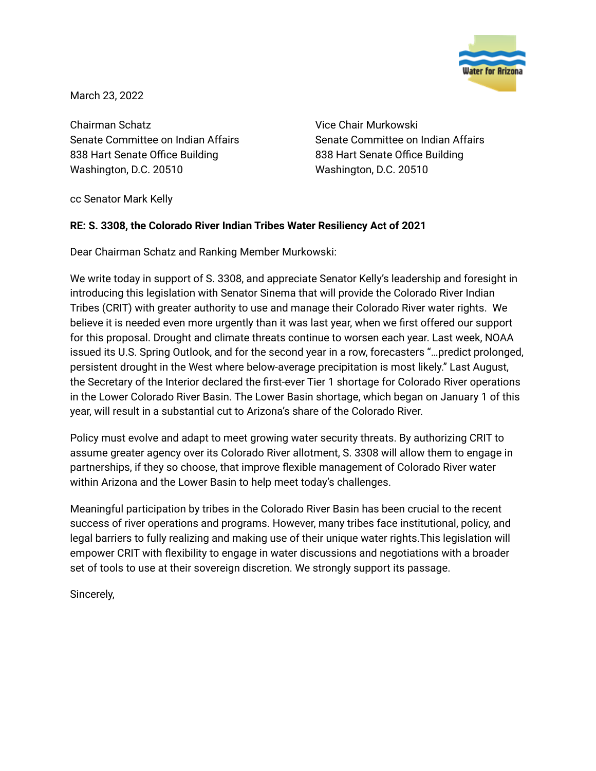

March 23, 2022

Chairman Schatz Senate Committee on Indian Affairs 838 Hart Senate Office Building Washington, D.C. 20510

Vice Chair Murkowski Senate Committee on Indian Affairs 838 Hart Senate Office Building Washington, D.C. 20510

cc Senator Mark Kelly

## **RE: S. 3308, the Colorado River Indian Tribes Water Resiliency Act of 2021**

Dear Chairman Schatz and Ranking Member Murkowski:

We write today in support of S. 3308, and appreciate Senator Kelly's leadership and foresight in introducing this legislation with Senator Sinema that will provide the Colorado River Indian Tribes (CRIT) with greater authority to use and manage their Colorado River water rights. We believe it is needed even more urgently than it was last year, when we first offered our support for this proposal. Drought and climate threats continue to worsen each year. Last week, NOAA issued its U.S. Spring Outlook, and for the second year in a row, forecasters "…predict prolonged, persistent drought in the West where below-average precipitation is most likely." Last August, the Secretary of the Interior declared the first-ever Tier 1 shortage for Colorado River operations in the Lower Colorado River Basin. The Lower Basin shortage, which began on January 1 of this year, will result in a substantial cut to Arizona's share of the Colorado River.

Policy must evolve and adapt to meet growing water security threats. By authorizing CRIT to assume greater agency over its Colorado River allotment, S. 3308 will allow them to engage in partnerships, if they so choose, that improve flexible management of Colorado River water within Arizona and the Lower Basin to help meet today's challenges.

Meaningful participation by tribes in the Colorado River Basin has been crucial to the recent success of river operations and programs. However, many tribes face institutional, policy, and legal barriers to fully realizing and making use of their unique water rights.This legislation will empower CRIT with flexibility to engage in water discussions and negotiations with a broader set of tools to use at their sovereign discretion. We strongly support its passage.

Sincerely,